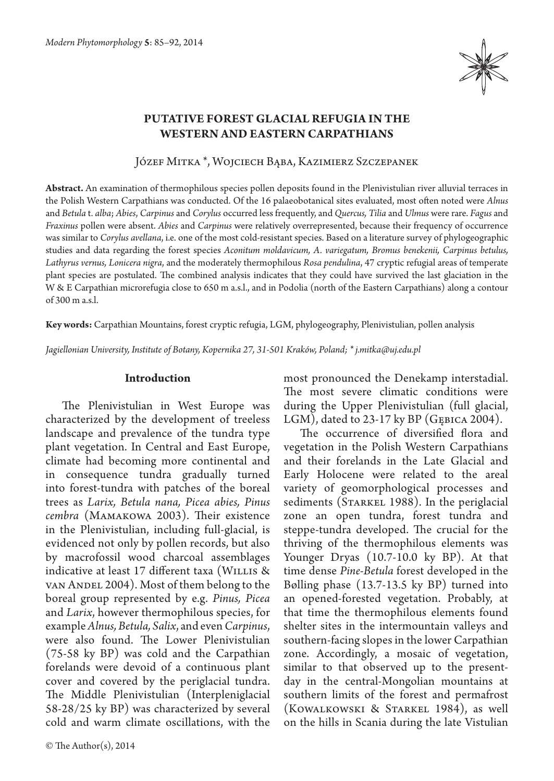

# **PUTATIVE FOREST GLACIAL REFUGIA IN THE WESTERN AND EASTERN CARPATHIANS**

Józef Mitka \*, Wojciech Bąba, Kazimierz Szczepanek

**Abstract.** An examination of thermophilous species pollen deposits found in the Plenivistulian river alluvial terraces in the Polish Western Carpathians was conducted. Of the 16 palaeobotanical sites evaluated, most often noted were *Alnus* and *Betula* t. *alba*; *Abies*, *Carpinus* and *Corylus* occurred less frequently, and *Quercus, Tilia* and *Ulmus* were rare. *Fagus* and *Fraxinus* pollen were absent. *Abies* and *Carpinus* were relatively overrepresented, because their frequency of occurrence was similar to *Corylus avellana*, i.e. one of the most cold-resistant species. Based on a literature survey of phylogeographic studies and data regarding the forest species *Aconitum moldavicum, A. variegatum, Bromus benekenii, Carpinus betulus, Lathyrus vernus, Lonicera nigra*, and the moderately thermophilous *Rosa pendulina*, 47 cryptic refugial areas of temperate plant species are postulated. The combined analysis indicates that they could have survived the last glaciation in the W & E Carpathian microrefugia close to 650 m a.s.l., and in Podolia (north of the Eastern Carpathians) along a contour of 300 m a.s.l.

**Key words:** Carpathian Mountains, forest cryptic refugia, LGM, phylogeography, Plenivistulian, pollen analysis

*Jagiellonian University, Institute of Botany, Kopernika 27, 31-501 Kraków, Poland; \* j.mitka@uj.edu.pl*

### **Introduction**

The Plenivistulian in West Europe was characterized by the development of treeless landscape and prevalence of the tundra type plant vegetation. In Central and East Europe, climate had becoming more continental and in consequence tundra gradually turned into forest-tundra with patches of the boreal trees as *Larix, Betula nana, Picea abies, Pinus cembra* (Mamakowa 2003). Their existence in the Plenivistulian, including full-glacial, is evidenced not only by pollen records, but also by macrofossil wood charcoal assemblages indicative at least 17 different taxa (WILLIS & van Andel 2004). Most of them belong to the boreal group represented by e.g. *Pinus, Picea*  and *Larix*, however thermophilous species, for example *Alnus, Betula, Salix*, and even *Carpinus*, were also found. The Lower Plenivistulian (75-58 ky BP) was cold and the Carpathian forelands were devoid of a continuous plant cover and covered by the periglacial tundra. The Middle Plenivistulian (Interpleniglacial 58-28/25 ky BP) was characterized by several cold and warm climate oscillations, with the most pronounced the Denekamp interstadial. The most severe climatic conditions were during the Upper Plenivistulian (full glacial, LGM), dated to 23-17 ky BP (GĘBICA 2004).

The occurrence of diversified flora and vegetation in the Polish Western Carpathians and their forelands in the Late Glacial and Early Holocene were related to the areal variety of geomorphological processes and sediments (STARKEL 1988). In the periglacial zone an open tundra, forest tundra and steppe-tundra developed. The crucial for the thriving of the thermophilous elements was Younger Dryas (10.7-10.0 ky BP). At that time dense *Pine-Betula* forest developed in the Bølling phase (13.7-13.5 ky BP) turned into an opened-forested vegetation. Probably, at that time the thermophilous elements found shelter sites in the intermountain valleys and southern-facing slopes in the lower Carpathian zone. Accordingly, a mosaic of vegetation, similar to that observed up to the presentday in the central-Mongolian mountains at southern limits of the forest and permafrost (Kowalkowski & Starkel 1984), as well on the hills in Scania during the late Vistulian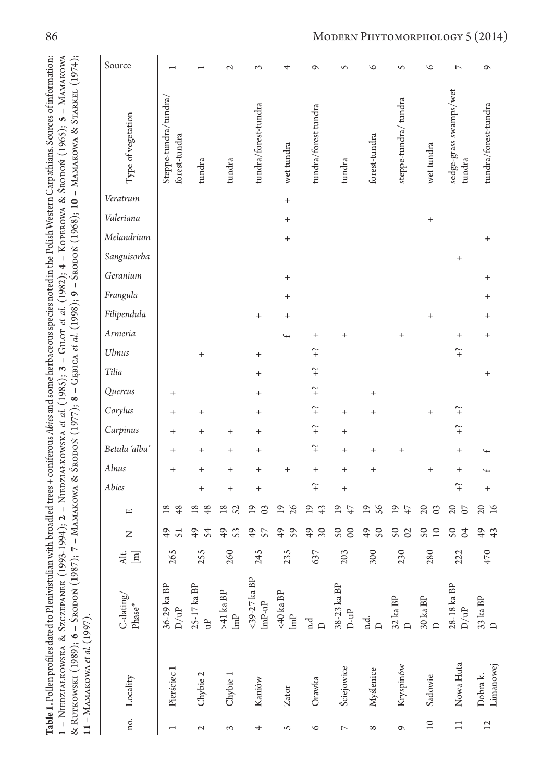| ian with broadled trees + coniferous A <i>bie</i> s and some herbaceous species noted in the Polish Western Carpathians. Sources of informat<br><b>Table 1.</b> Pollen profiles dated to Plenivistul |
|------------------------------------------------------------------------------------------------------------------------------------------------------------------------------------------------------|
| 1994-1994); 2 - Nuenziałkowska et al. (1985); 3 - Griot et al. (1982); 4 - Koperawa & Sropoń (1965); 5 - Nam<br><b>EDZIAŁKOWSKA &amp; SZCZEPANEK</b><br>$\frac{1}{2}$                                |
| ļ<br>Амаксома & Sronox (1977); 8 - Genica et al. (1986); 9 - Sronox (1968); 10 - Мамаксома & Srarkel (1<br>$M - 7$ ; $7 - M$<br>LUTKOWSKI (1989); $6 -$ Srodon (1)                                   |
| MAKOWA et al<br>$4.1 - 14$                                                                                                                                                                           |

| Source                                                                        |                                        |                        | $\mathcal{L}$                    | 3                                                            | 4                                             | ⌒                          | S                                       | ৩                               | S                                   | $\circ$                        | $\overline{ }$                   | $\circ$                     |
|-------------------------------------------------------------------------------|----------------------------------------|------------------------|----------------------------------|--------------------------------------------------------------|-----------------------------------------------|----------------------------|-----------------------------------------|---------------------------------|-------------------------------------|--------------------------------|----------------------------------|-----------------------------|
| Type of vegetation                                                            | Steppe-tundra/tundra,<br>forest-tundra | tundra                 | tundra                           | tundra/forest-tundra                                         | wet tundra                                    | tundra/forest tundra       | tundra                                  | forest-tundra                   | steppe-tundra/ tundra               | wet tundra                     | sedge-grass swamps/wet<br>tundra | tundra/forest-tundra        |
| Veratrum                                                                      |                                        |                        |                                  |                                                              | $^{+}$                                        |                            |                                         |                                 |                                     |                                |                                  |                             |
| Valeriana                                                                     |                                        |                        |                                  |                                                              | $^{+}$                                        |                            |                                         |                                 |                                     | $^{+}$                         |                                  |                             |
| Melandrium                                                                    |                                        |                        |                                  |                                                              | $^+$                                          |                            |                                         |                                 |                                     |                                |                                  |                             |
| Sanguisorba                                                                   |                                        |                        |                                  |                                                              |                                               |                            |                                         |                                 |                                     |                                | $^{+}$                           |                             |
| Geranium                                                                      |                                        |                        |                                  |                                                              | $^{+}$                                        |                            |                                         |                                 |                                     |                                |                                  |                             |
| Frangula                                                                      |                                        |                        |                                  |                                                              | $\overline{+}$                                |                            |                                         |                                 |                                     |                                |                                  |                             |
| Filipendula                                                                   |                                        |                        |                                  | $^{+}$                                                       | $\hbox{ }$                                    |                            |                                         |                                 |                                     | $^{+}$                         |                                  |                             |
| Armeria                                                                       |                                        |                        |                                  |                                                              |                                               |                            | $^{+}$                                  |                                 |                                     |                                | $^+$                             |                             |
| Ulmus                                                                         |                                        | $^{+}$                 |                                  | $\,+\,$                                                      |                                               | $\widetilde{+}$            |                                         |                                 |                                     |                                | $\widetilde{+}$                  |                             |
| Tilia                                                                         |                                        |                        |                                  | $^{+}$                                                       |                                               | $\widetilde{+}$            |                                         |                                 |                                     |                                |                                  |                             |
| Quercus                                                                       | $^{+}$                                 |                        |                                  | $\overline{+}$                                               |                                               | $\widetilde{+}$            |                                         | $^{+}$                          |                                     |                                |                                  |                             |
| Corylus                                                                       | $^{+}$                                 | $^{+}$                 |                                  | $\overline{+}$                                               |                                               | $\widetilde{+}$            | $^{+}$                                  | $^{+}$                          |                                     | $\overline{+}$                 | $\hat{+}$                        |                             |
| Carpinus                                                                      | $^{+}$                                 | $\,$                   |                                  | $^{+}$                                                       |                                               | $\widetilde{+}$            | $^{+}$                                  |                                 |                                     |                                | $\widetilde{+}$                  |                             |
| Betula 'alba'                                                                 | $^{+}$                                 | $\,+\,$                | $^{+}$                           | $\,+\,$                                                      |                                               | $\widetilde{+}$            | $^+$                                    | $^+$                            |                                     |                                | $\, + \,$                        |                             |
| Alnus                                                                         | $^{+}$                                 | $\,+\,$                | $\overline{+}$                   | $^{+}$                                                       | $\overline{+}$                                | $^{+}$                     | $^{+}$                                  | $\overline{+}$                  |                                     | $^{+}$                         | $\overline{+}$                   |                             |
| Abies                                                                         |                                        | $^{+}$                 | $^{+}$                           | $\overline{+}$                                               |                                               | $\widetilde{+}$            | $\overline{+}$                          |                                 |                                     |                                | $\hat{+}$                        |                             |
| 叫                                                                             | $\overline{8}$<br>48                   | $\overline{18}$<br>48  | $\overline{8}$<br>S <sub>2</sub> | $\overline{0}$<br>$\infty$                                   | $\overline{19}$<br>$\delta$                   | $\overline{1}$<br>43       | ⊴<br>47                                 | $\overline{9}$<br>99            | $\overline{19}$<br>47               | $\Omega$<br>$\infty$           | $\overline{c}$<br>$\Omega$       | $\Omega$<br>$\overline{16}$ |
| Z                                                                             | $\frac{4}{9}$<br>51                    | $\frac{1}{2}$<br>54    | $\frac{1}{2}$<br>$\mathfrak{S}$  | $\frac{1}{2}$<br>57                                          | $\overline{6}$<br>$\mathcal{S}^{\mathcal{S}}$ | $\overline{6}$<br>$\infty$ | $\mathcal{S}$<br>$\infty$               | $\overline{6}$<br>$\mathcal{S}$ | $\mathsf{S} \mathsf{O}$<br>$\Omega$ | $\mathsf{S} \mathsf{O}$<br>10  | $\mathcal{S}$<br>$\beta$         | $\overline{6}$<br>43        |
| $\Xi$<br>Alt.                                                                 | 265                                    | 255                    | 260                              | 245                                                          | 235                                           | 637                        | 203                                     | 300                             | 230                                 | 280                            | 222                              | 470                         |
| $\mbox{C-dating}/% \mathbb{Z} _{2}^{d}(G)$<br>$\ensuremath{\mathrm{Phase}}^*$ | 36-29 ka BP<br>${\rm D}/{\rm uP}$      | 25-17 ka BP<br>եր<br>ա | $>41$ ka BP $$\tt{lmP}$$         | $<\!39\text{-}27$ ka BP<br>${\rm Im}{\rm P\text{-}u}{\rm P}$ | <40 ka BP<br>$\mbox{Im} \mathbb{P}$           | n.d<br>$\Box$              | 38-23 ka BP<br>$D\text{-}\mathfrak{u}P$ | n.d.                            | $32$ ka BP<br>D                     | $30\,\mathrm{ka}\,\mathrm{BP}$ | 28-18 ka BP<br>$\rm D/uP$        | 33 ka BP<br>D               |
| no. Locality                                                                  | Pierściec 1                            | Chybie 2               | Chybie 1                         | Kaniów                                                       | Zator                                         | Orawka                     | <b>Ściejowice</b>                       | Myślenice                       | Kryspinów                           | Sadowie                        | Nowa Huta                        | Limanowej<br>Dobra k.       |
|                                                                               |                                        | 2                      | 3                                | 4                                                            | S                                             | $\circ$                    | $\overline{a}$                          | $^{\circ}$                      | $\circ$                             | $\overline{10}$                | $\Xi$                            | $\overline{12}$             |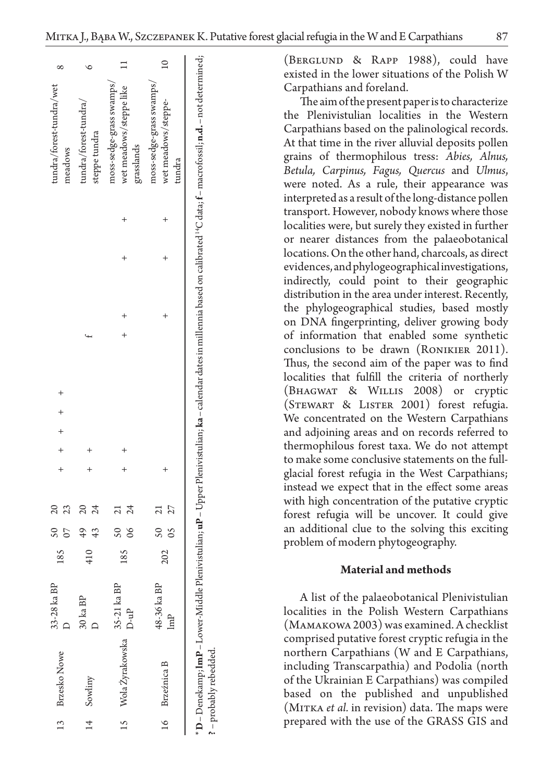| tundra/forest-tundra/wet<br>meadows | tundra/forest-tundra/<br>steppe tundra | wet meadows/steppe like<br>moss-sedge-grass swamps/<br>grasslands | moss-sedge-grass swamps/<br>wet meadows/steppe-<br>tundra | * D – Denekamp; <b>ImP</b> – Lower-Middle Plenivistulian; <b>uP</b> – Upper Plenivistulian; ka – calendar dates in millennia based on calibrated <sup>14</sup> C data; f – macrofossil; <b>n.d.</b> – not determined; |
|-------------------------------------|----------------------------------------|-------------------------------------------------------------------|-----------------------------------------------------------|-----------------------------------------------------------------------------------------------------------------------------------------------------------------------------------------------------------------------|
|                                     |                                        |                                                                   |                                                           |                                                                                                                                                                                                                       |
|                                     |                                        |                                                                   |                                                           |                                                                                                                                                                                                                       |
|                                     |                                        |                                                                   |                                                           |                                                                                                                                                                                                                       |
|                                     |                                        |                                                                   |                                                           |                                                                                                                                                                                                                       |
|                                     |                                        |                                                                   |                                                           |                                                                                                                                                                                                                       |
| $+$ $+$ $+$ $+$ $+$                 |                                        |                                                                   |                                                           |                                                                                                                                                                                                                       |
|                                     |                                        |                                                                   |                                                           |                                                                                                                                                                                                                       |
|                                     |                                        |                                                                   |                                                           |                                                                                                                                                                                                                       |
|                                     |                                        | $\overline{\mathcal{A}}$                                          | 05 27                                                     |                                                                                                                                                                                                                       |
| $\overline{\mathcal{S}}$            | $\frac{4}{3}$                          | $\overline{\text{S}}$                                             | $50$ 21                                                   |                                                                                                                                                                                                                       |
| 185                                 | 410                                    | 185                                                               | 202                                                       |                                                                                                                                                                                                                       |
| 33-28 ka BP                         | 30 ka BP                               | 35-21 ka BP<br>$D - uP$                                           | 48-36 ka BP<br>lmP                                        |                                                                                                                                                                                                                       |
| 13 Brzesko Nowe                     | 14 Sowliny                             | 15 Wola Żyrakowska                                                | 16 Brzeźnica B                                            | ? - probably rebedded.                                                                                                                                                                                                |
|                                     |                                        |                                                                   |                                                           |                                                                                                                                                                                                                       |

(Berglund & Rapp 1988), could have existed in the lower situations of the Polish W Carpathians and foreland.

The aim of the present paper is to characterize the Plenivistulian localities in the Western Carpathians based on the palinological records. At that time in the river alluvial deposits pollen grains of thermophilous tress: *Abies, Alnus, Betula, Carpinus, Fagus, Quercus* and *Ulmus*, were noted. As a rule, their appearance was interpreted as a result of the long-distance pollen transport. However, nobody knows where those localities were, but surely they existed in further or nearer distances from the palaeobotanical locations. On the other hand, charcoals, as direct evidences, and phylogeographical investigations, indirectly, could point to their geographic distribution in the area under interest. Recently, the phylogeographical studies, based mostly on DNA fingerprinting, deliver growing body of information that enabled some synthetic conclusions to be drawn (Ronikier 2011). Thus, the second aim of the paper was to find localities that fulfill the criteria of northerly (Bhagwat & Willis 2008) or cryptic (Stewart & Lister 2001) forest refugia. We concentrated on the Western Carpathians and adjoining areas and on records referred to thermophilous forest taxa. We do not attempt to make some conclusive statements on the fullglacial forest refugia in the West Carpathians; instead we expect that in the effect some areas with high concentration of the putative cryptic forest refugia will be uncover. It could give an additional clue to the solving this exciting problem of modern phytogeography.

# **Material and methods**

A list of the palaeobotanical Plenivistulian localities in the Polish Western Carpathians (Mamakowa 2003) was examined. A checklist comprised putative forest cryptic refugia in the northern Carpathians (W and E Carpathians, including Transcarpathia) and Podolia (north of the Ukrainian E Carpathians) was compiled based on the published and unpublished (MITKA *et al.* in revision) data. The maps were prepared with the use of the GRASS GIS and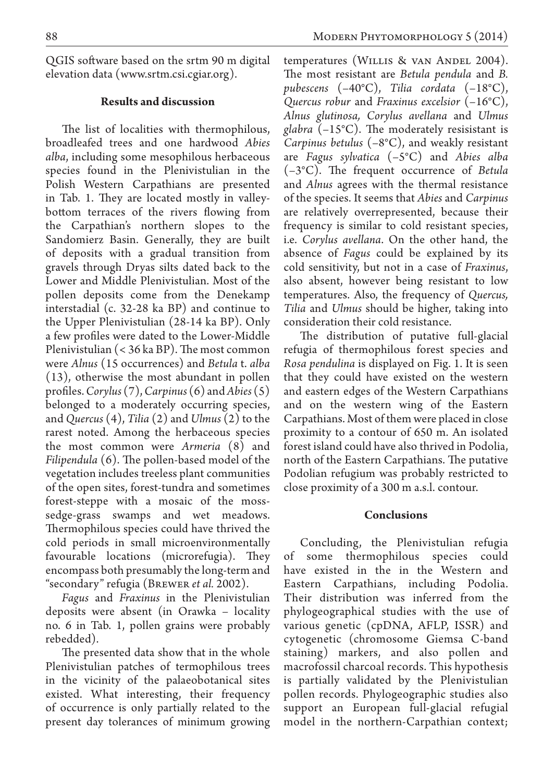QGIS software based on the srtm 90 m digital elevation data (www.srtm.csi.cgiar.org).

# **Results and discussion**

The list of localities with thermophilous, broadleafed trees and one hardwood *Abies alba*, including some mesophilous herbaceous species found in the Plenivistulian in the Polish Western Carpathians are presented in Tab. 1. They are located mostly in valleybottom terraces of the rivers flowing from the Carpathian's northern slopes to the Sandomierz Basin. Generally, they are built of deposits with a gradual transition from gravels through Dryas silts dated back to the Lower and Middle Plenivistulian. Most of the pollen deposits come from the Denekamp interstadial (c. 32-28 ka BP) and continue to the Upper Plenivistulian (28-14 ka BP). Only a few profiles were dated to the Lower-Middle Plenivistulian (< 36 ka BP). The most common were *Alnus* (15 occurrences) and *Betula* t. *alba* (13), otherwise the most abundant in pollen profiles. *Corylus* (7), *Carpinus* (6) and *Abies* (5) belonged to a moderately occurring species, and *Quercus* (4), *Tilia* (2) and *Ulmus* (2) to the rarest noted. Among the herbaceous species the most common were *Armeria* (8) and *Filipendula* (6). The pollen-based model of the vegetation includes treeless plant communities of the open sites, forest-tundra and sometimes forest-steppe with a mosaic of the mosssedge-grass swamps and wet meadows. Thermophilous species could have thrived the cold periods in small microenvironmentally favourable locations (microrefugia). They encompass both presumably the long-term and "secondary" refugia (Brewer *et al.* 2002).

*Fagus* and *Fraxinus* in the Plenivistulian deposits were absent (in Orawka – locality no. 6 in Tab. 1, pollen grains were probably rebedded).

The presented data show that in the whole Plenivistulian patches of termophilous trees in the vicinity of the palaeobotanical sites existed. What interesting, their frequency of occurrence is only partially related to the present day tolerances of minimum growing

temperatures (Willis & van Andel 2004). The most resistant are *Betula pendula* and *B. pubescens* (–40°C), *Tilia cordata* (–18°C), *Quercus robur* and *Fraxinus excelsior* (–16°C), *Alnus glutinosa, Corylus avellana* and *Ulmus glabra* (–15°C). The moderately resisistant is *Carpinus betulus* (–8°C), and weakly resistant are *Fagus sylvatica* (–5°C) and *Abies alba* (–3°C). The frequent occurrence of *Betula* and *Alnus* agrees with the thermal resistance of the species. It seems that *Abies* and *Carpinus* are relatively overrepresented, because their frequency is similar to cold resistant species, i.e. *Corylus avellana*. On the other hand, the absence of *Fagus* could be explained by its cold sensitivity, but not in a case of *Fraxinus*, also absent, however being resistant to low temperatures. Also, the frequency of *Quercus, Tilia* and *Ulmus* should be higher, taking into consideration their cold resistance.

The distribution of putative full-glacial refugia of thermophilous forest species and *Rosa pendulina* is displayed on Fig. 1. It is seen that they could have existed on the western and eastern edges of the Western Carpathians and on the western wing of the Eastern Carpathians. Most of them were placed in close proximity to a contour of 650 m. An isolated forest island could have also thrived in Podolia, north of the Eastern Carpathians. The putative Podolian refugium was probably restricted to close proximity of a 300 m a.s.l. contour.

### **Conclusions**

Concluding, the Plenivistulian refugia of some thermophilous species could have existed in the in the Western and Eastern Carpathians, including Podolia. Their distribution was inferred from the phylogeographical studies with the use of various genetic (cpDNA, AFLP, ISSR) and cytogenetic (chromosome Giemsa C-band staining) markers, and also pollen and macrofossil charcoal records. This hypothesis is partially validated by the Plenivistulian pollen records. Phylogeographic studies also support an European full-glacial refugial model in the northern-Carpathian context;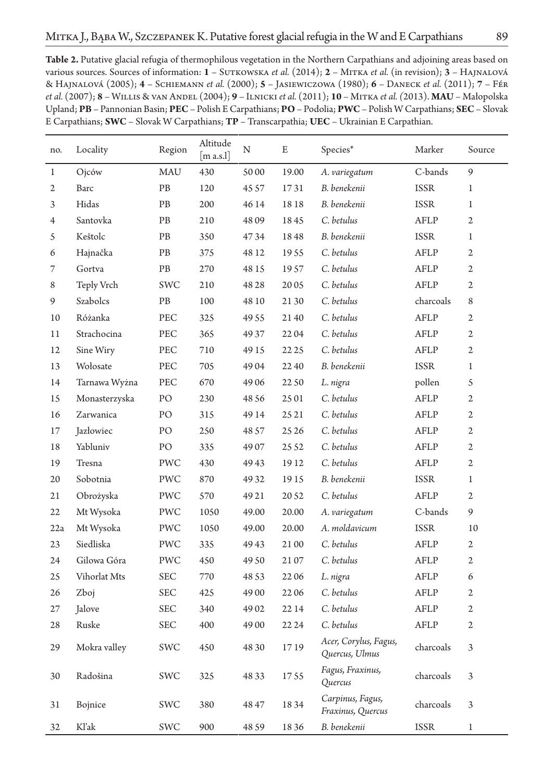| <b>Table 2.</b> Putative glacial refugia of thermophilous vegetation in the Northern Carpathians and adjoining areas based on     |
|-----------------------------------------------------------------------------------------------------------------------------------|
| various sources. Sources of information: 1 – SUTKOWSKA <i>et al.</i> (2014); 2 – MITKA <i>et al.</i> (in revision); 3 – HAJNALOVÁ |
| & Hajnalová (2005); 4 – Schiemann et al. (2000); 5 – Jasiewiczowa (1980); 6 – Daneck et al. (2011); 7 – Fér                       |
| et al. (2007); 8 – WILLIS & VAN ANDEL (2004); 9 – ILNICKI et al. (2011); 10 – MITKA et al. (2013). MAU – Małopolska               |
| Upland; PB - Pannonian Basin; PEC - Polish E Carpathians; PO - Podolia; PWC - Polish W Carpathians; SEC - Slovak                  |
| E Carpathians; SWC – Slovak W Carpathians; $TP$ – Transcarpathia; UEC – Ukrainian E Carpathian.                                   |
|                                                                                                                                   |

| no.            | Locality      | Region     | Altitude<br>$\lceil$ m a.s.l $\rceil$ | N     | E     | Species*                                | Marker      | Source         |
|----------------|---------------|------------|---------------------------------------|-------|-------|-----------------------------------------|-------------|----------------|
| $\mathbf{1}$   | Ojców         | MAU        | 430                                   | 50 00 | 19.00 | A. variegatum                           | C-bands     | 9              |
| $\mathfrak{2}$ | Barc          | PB         | 120                                   | 45 57 | 1731  | B. benekenii                            | <b>ISSR</b> | $\mathbf{1}$   |
| 3              | Hidas         | PВ         | 200                                   | 46 14 | 1818  | B. benekenii                            | <b>ISSR</b> | $\mathbf{1}$   |
| $\overline{4}$ | Santovka      | PB         | 210                                   | 4809  | 1845  | C. betulus                              | AFLP        | $\overline{2}$ |
| 5              | Keštolc       | PB         | 350                                   | 4734  | 1848  | B. benekenii                            | <b>ISSR</b> | $\mathbf{1}$   |
| 6              | Hajnačka      | PB         | 375                                   | 48 12 | 1955  | C. betulus                              | AFLP        | $\overline{2}$ |
| 7              | Gortva        | PB         | 270                                   | 48 15 | 1957  | C. betulus                              | AFLP        | $\overline{2}$ |
| 8              | Teply Vrch    | SWC        | 210                                   | 48 28 | 2005  | C. betulus                              | AFLP        | $\overline{2}$ |
| 9              | Szabolcs      | PB         | 100                                   | 48 10 | 21 30 | C. betulus                              | charcoals   | 8              |
| 10             | Różanka       | PEC        | 325                                   | 49 55 | 2140  | C. betulus                              | AFLP        | $\overline{2}$ |
| 11             | Strachocina   | PEC        | 365                                   | 49 37 | 2204  | C. betulus                              | AFLP        | $\overline{2}$ |
| 12             | Sine Wiry     | PEC        | 710                                   | 49 15 | 22 25 | C. betulus                              | AFLP        | $\mathfrak{2}$ |
| 13             | Wołosate      | PEC        | 705                                   | 4904  | 22 40 | B. benekenii                            | <b>ISSR</b> | $\mathbf 1$    |
| 14             | Tarnawa Wyżna | PEC        | 670                                   | 49 06 | 22 50 | L. nigra                                | pollen      | 5              |
| 15             | Monasterzyska | PO         | 230                                   | 48 56 | 25 01 | C. betulus                              | AFLP        | $\mathfrak{2}$ |
| 16             | Zarwanica     | PO         | 315                                   | 49 14 | 25 21 | C. betulus                              | AFLP        | $\mathfrak{2}$ |
| 17             | Jazłowiec     | PO         | 250                                   | 48 57 | 25 26 | C. betulus                              | AFLP        | $\overline{2}$ |
| 18             | Yabluniv      | PO         | 335                                   | 4907  | 25 52 | C. betulus                              | AFLP        | $\overline{2}$ |
| 19             | Tresna        | PWC        | 430                                   | 49 43 | 19 12 | C. betulus                              | AFLP        | $\overline{2}$ |
| 20             | Sobotnia      | PWC        | 870                                   | 49 32 | 1915  | B. benekenii                            | <b>ISSR</b> | $\mathbf{1}$   |
| 21             | Obrożyska     | PWC        | 570                                   | 49 21 | 20 52 | C. betulus                              | AFLP        | $\overline{2}$ |
| 22             | Mt Wysoka     | PWC        | 1050                                  | 49.00 | 20.00 | A. variegatum                           | C-bands     | 9              |
| 22a            | Mt Wysoka     | PWC        | 1050                                  | 49.00 | 20.00 | A. moldavicum                           | <b>ISSR</b> | 10             |
| 23             | Siedliska     | PWC        | 335                                   | 4943  | 21 00 | C. betulus                              | AFLP        | $\overline{2}$ |
| 24             | Gilowa Góra   | PWC        | 450                                   | 49 50 | 2107  | C. betulus                              | AFLP        | $\overline{2}$ |
| 25             | Vihorlat Mts  | SEC        | 770                                   | 48 53 | 2206  | L. nigra                                | AFLP        | 6              |
| 26             | Zboj          | <b>SEC</b> | 425                                   | 49 00 | 2206  | C. betulus                              | AFLP        | $\overline{2}$ |
| 27             | Jalove        | SEC        | 340                                   | 4902  | 22 14 | C. betulus                              | AFLP        | $\overline{2}$ |
| 28             | Ruske         | SEC        | 400                                   | 49 00 | 22 24 | C. betulus                              | AFLP        | $\mathfrak{2}$ |
| 29             | Mokra valley  | SWC        | 450                                   | 48 30 | 1719  | Acer, Corylus, Fagus,<br>Quercus, Ulmus | charcoals   | 3              |
| 30             | Radošina      | SWC        | 325                                   | 48 33 | 1755  | Fagus, Fraxinus,<br>Quercus             | charcoals   | 3              |
| 31             | Bojnice       | SWC        | 380                                   | 48 47 | 1834  | Carpinus, Fagus,<br>Fraxinus, Quercus   | charcoals   | 3              |
| 32             | Kl'ak         | <b>SWC</b> | 900                                   | 48 59 | 1836  | B. benekenii                            | <b>ISSR</b> | $\mathbf{1}$   |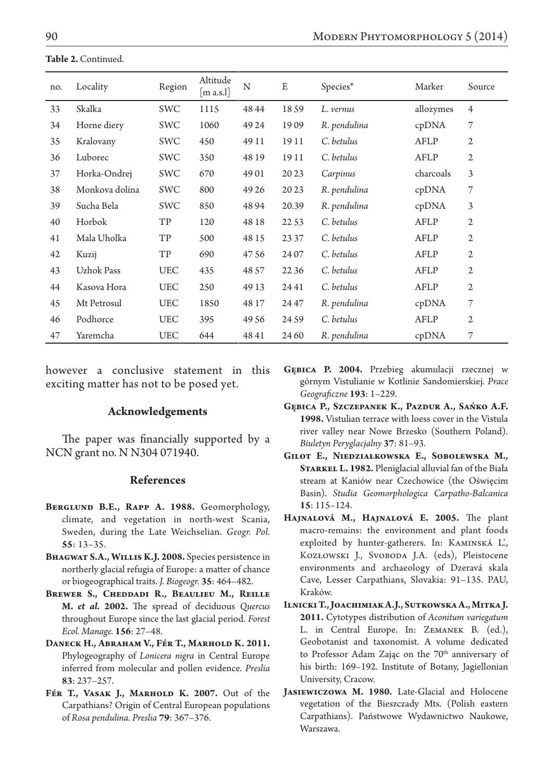**Table 2.** Continued.

| no. | Locality       | Region     | Altitude<br>$\left[\mathrm{m}\ \mathrm{a.s.}\right]$ | N     | E     | Species*     | Marker    | Source         |
|-----|----------------|------------|------------------------------------------------------|-------|-------|--------------|-----------|----------------|
| 33  | Skalka         | SWC        | 1115                                                 | 48 44 | 1859  | L. vernus    | allozymes | $\overline{4}$ |
| 34  | Horne diery    | SWC        | 1060                                                 | 49 24 | 1909  | R. pendulina | cpDNA     | 7              |
| 35  | Kralovany      | SWC        | 450                                                  | 49 11 | 19 11 | C. betulus   | AFLP      | $\overline{2}$ |
| 36  | Luborec        | SWC        | 350                                                  | 48 19 | 19 11 | C. betulus   | AFLP      | $\overline{2}$ |
| 37  | Horka-Ondrej   | SWC        | 670                                                  | 4901  | 2023  | Carpinus     | charcoals | 3              |
| 38  | Monkova dolina | <b>SWC</b> | 800                                                  | 49 26 | 2023  | R. pendulina | cpDNA     | 7              |
| 39  | Sucha Bela     | SWC        | 850                                                  | 48 94 | 20.39 | R. pendulina | cpDNA     | 3              |
| 40  | Horbok         | TP         | 120                                                  | 48 18 | 22 53 | C. betulus   | AFLP      | $\overline{2}$ |
| 41  | Mala Uholka    | TP         | 500                                                  | 48 15 | 23 37 | C. betulus   | AFLP      | $\overline{2}$ |
| 42  | Kuzij          | TP         | 690                                                  | 4756  | 24 07 | C. betulus   | AFLP      | $\overline{2}$ |
| 43  | Uzhok Pass     | <b>UEC</b> | 435                                                  | 48 57 | 22 36 | C. betulus   | AFLP      | $\overline{2}$ |
| 44  | Kasova Hora    | <b>UEC</b> | 250                                                  | 49 13 | 2441  | C. betulus   | AFLP      | 2              |
| 45  | Mt Petrosul    | <b>UEC</b> | 1850                                                 | 48 17 | 24 47 | R. pendulina | cpDNA     | 7              |
| 46  | Podhorce       | <b>UEC</b> | 395                                                  | 49 56 | 24 59 | C. betulus   | AFLP      | $\overline{2}$ |
| 47  | Yaremcha       | <b>UEC</b> | 644                                                  | 4841  | 24 60 | R. pendulina | cpDNA     | 7              |

however a conclusive statement in this exciting matter has not to be posed yet.

#### **Acknowledgements**

The paper was financially supported by a NCN grant no. N N304 071940.

#### **References**

- **Berglund B.E., Rapp A. 1988.** Geomorphology, climate, and vegetation in north-west Scania, Sweden, during the Late Weichselian. *Geogr. Pol.* **55**: 13–35.
- **Bhagwat S.A., Willis K.J. 2008.** Species persistence in northerly glacial refugia of Europe: a matter of chance or biogeographical traits. *J. Biogeogr.* **35**: 464–482.
- **Brewer S., Cheddadi R., Beaulieu M., Reille M.** *et al.* **2002.** The spread of deciduous *Quercus* throughout Europe since the last glacial period. *Forest Ecol. Manage.* **156**: 27–48.
- **Daneck H., Abraham V., Fér T., Marhold K. 2011.**  Phylogeography of *Lonicera nigra* in Central Europe inferred from molecular and pollen evidence. *Preslia* **83**: 237–257.
- FÉR T., VASAK J., MARHOLD K. 2007. Out of the Carpathians? Origin of Central European populations of *Rosa pendulina. Preslia* **79**: 367–376.
- **Gębica P. 2004.** Przebieg akumulacji rzecznej w górnym Vistulianie w Kotlinie Sandomierskiej. *Prace Geograficzne* **193**: 1–229.
- **Gębica P., Szczepanek K., Pazdur A., Sańko A.F. 1998.** Vistulian terrace with loess cover in the Vistula river valley near Nowe Brzesko (Southern Poland). *Biuletyn Peryglacjalny* **37**: 81–93.
- **Gilot E., Niedziałkowska E., Sobolewska M., Starkel L. 1982.** Pleniglacial alluvial fan of the Biała stream at Kaniów near Czechowice (the Oświęcim Basin). *Studia Geomorphologica Carpatho-Balcanica*  **15**: 115–124.
- **Hajnalová M., Hajnalová E. 2005.** The plant macro-remains: the environment and plant foods exploited by hunter-gatherers. In: Kaminská L'., KOZŁOWSKI J., SVOBODA J.A. (eds), Pleistocene environments and archaeology of Dzeravá skala Cave, Lesser Carpathians, Slovakia: 91–135. PAU, Kraków.
- **Ilnicki T., Joachimiak A.J., Sutkowska A., Mitka J. 2011.** Cytotypes distribution of *Aconitum variegatum* L. in Central Europe. In: ZEMANEK B. (ed.), Geobotanist and taxonomist. A volume dedicated to Professor Adam Zając on the 70<sup>th</sup> anniversary of his birth: 169–192. Institute of Botany, Jagiellonian University, Cracow.
- **Jasiewiczowa M. 1980.** Late-Glacial and Holocene vegetation of the Bieszczady Mts. (Polish eastern Carpathians). Państwowe Wydawnictwo Naukowe, Warszawa.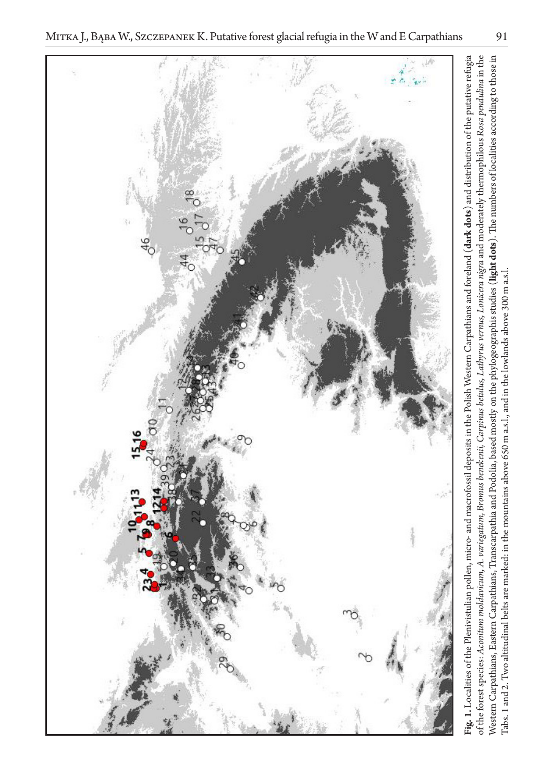Tabs. 1 and 2. Two altitudinal belts are marked: in the mountains above 650 m a.s.l., and in the lowlands above 300 m a.s.l.

Tabs. 1 and 2. Two altitudinal belts are marked: in the mountains above 650 m a.s.l., and in the lowlands above 300 m a.s.l.